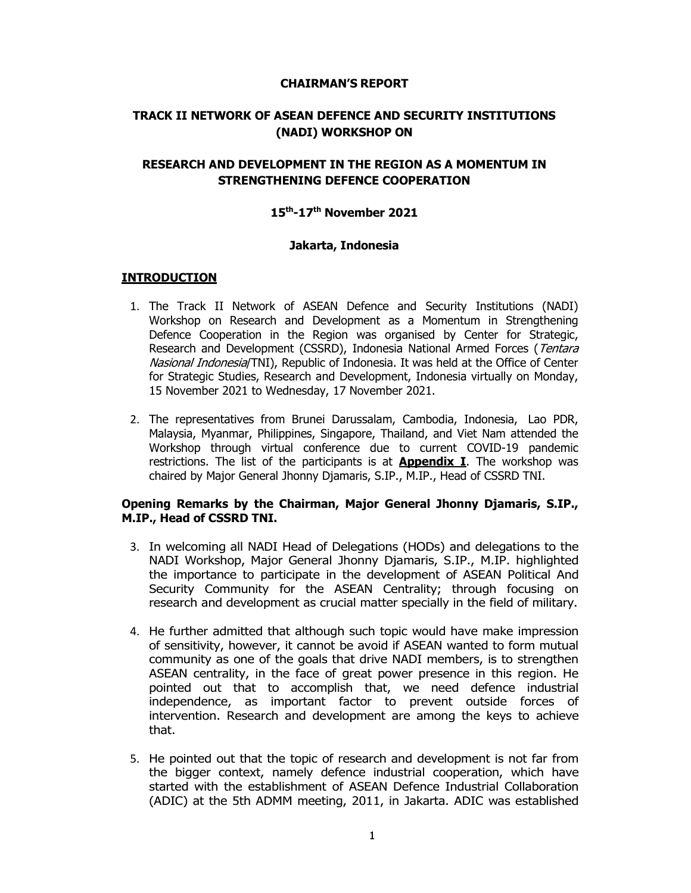#### **CHAIRMAN'S REPORT**

# **TRACK II NETWORK OF ASEAN DEFENCE AND SECURITY INSTITUTIONS (NADI) WORKSHOP ON**

# **RESEARCH AND DEVELOPMENT IN THE REGION AS A MOMENTUM IN STRENGTHENING DEFENCE COOPERATION**

# **15th-17th November 2021**

## **Jakarta, Indonesia**

## **INTRODUCTION**

- 1. The Track II Network of ASEAN Defence and Security Institutions (NADI) Workshop on Research and Development as a Momentum in Strengthening Defence Cooperation in the Region was organised by Center for Strategic, Research and Development (CSSRD), Indonesia National Armed Forces (Tentara Nasional Indonesia/TNI), Republic of Indonesia. It was held at the Office of Center for Strategic Studies, Research and Development, Indonesia virtually on Monday, 15 November 2021 to Wednesday, 17 November 2021.
- 2. The representatives from Brunei Darussalam, Cambodia, Indonesia, Lao PDR, Malaysia, Myanmar, Philippines, Singapore, Thailand, and Viet Nam attended the Workshop through virtual conference due to current COVID-19 pandemic restrictions. The list of the participants is at **Appendix I**. The workshop was chaired by Major General Jhonny Djamaris, S.IP., M.IP., Head of CSSRD TNI.

#### **Opening Remarks by the Chairman, Major General Jhonny Djamaris, S.IP., M.IP., Head of CSSRD TNI.**

- 3. In welcoming all NADI Head of Delegations (HODs) and delegations to the NADI Workshop, Major General Jhonny Djamaris, S.IP., M.IP. highlighted the importance to participate in the development of ASEAN Political And Security Community for the ASEAN Centrality; through focusing on research and development as crucial matter specially in the field of military.
- 4. He further admitted that although such topic would have make impression of sensitivity, however, it cannot be avoid if ASEAN wanted to form mutual community as one of the goals that drive NADI members, is to strengthen ASEAN centrality, in the face of great power presence in this region. He pointed out that to accomplish that, we need defence industrial independence, as important factor to prevent outside forces of intervention. Research and development are among the keys to achieve that.
- 5. He pointed out that the topic of research and development is not far from the bigger context, namely defence industrial cooperation, which have started with the establishment of ASEAN Defence Industrial Collaboration (ADIC) at the 5th ADMM meeting, 2011, in Jakarta. ADIC was established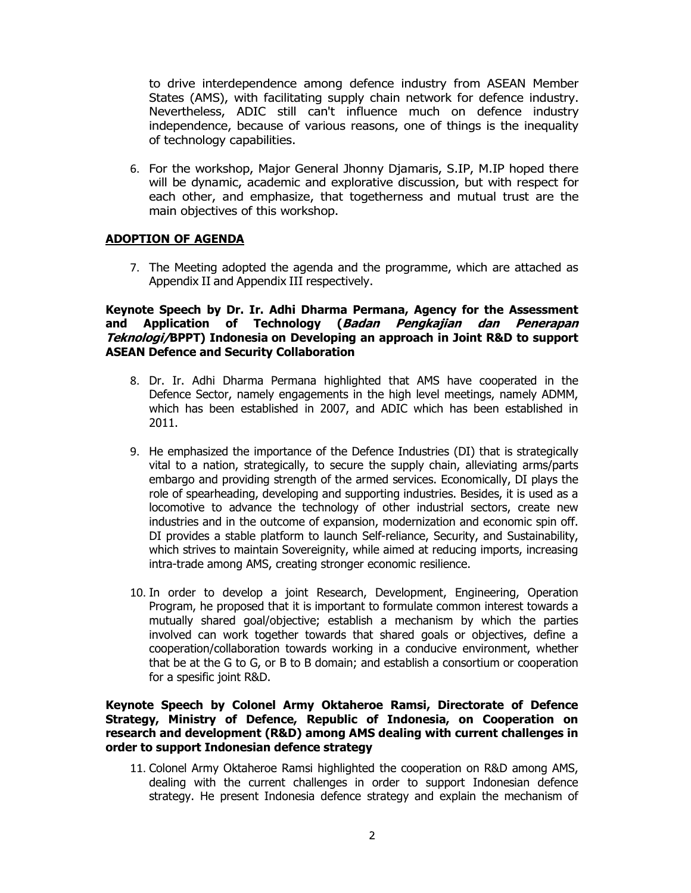to drive interdependence among defence industry from ASEAN Member States (AMS), with facilitating supply chain network for defence industry. Nevertheless, ADIC still can't influence much on defence industry independence, because of various reasons, one of things is the inequality of technology capabilities.

6. For the workshop, Major General Jhonny Djamaris, S.IP, M.IP hoped there will be dynamic, academic and explorative discussion, but with respect for each other, and emphasize, that togetherness and mutual trust are the main objectives of this workshop.

## **ADOPTION OF AGENDA**

7. The Meeting adopted the agenda and the programme, which are attached as Appendix II and Appendix III respectively.

#### **Keynote Speech by Dr. Ir. Adhi Dharma Permana, Agency for the Assessment and Application of Technology (Badan Pengkajian dan Penerapan Teknologi/BPPT) Indonesia on Developing an approach in Joint R&D to support ASEAN Defence and Security Collaboration**

- 8. Dr. Ir. Adhi Dharma Permana highlighted that AMS have cooperated in the Defence Sector, namely engagements in the high level meetings, namely ADMM, which has been established in 2007, and ADIC which has been established in 2011.
- 9. He emphasized the importance of the Defence Industries (DI) that is strategically vital to a nation, strategically, to secure the supply chain, alleviating arms/parts embargo and providing strength of the armed services. Economically, DI plays the role of spearheading, developing and supporting industries. Besides, it is used as a locomotive to advance the technology of other industrial sectors, create new industries and in the outcome of expansion, modernization and economic spin off. DI provides a stable platform to launch Self-reliance, Security, and Sustainability, which strives to maintain Sovereignity, while aimed at reducing imports, increasing intra-trade among AMS, creating stronger economic resilience.
- 10. In order to develop a joint Research, Development, Engineering, Operation Program, he proposed that it is important to formulate common interest towards a mutually shared goal/objective; establish a mechanism by which the parties involved can work together towards that shared goals or objectives, define a cooperation/collaboration towards working in a conducive environment, whether that be at the G to G, or B to B domain; and establish a consortium or cooperation for a spesific joint R&D.

#### **Keynote Speech by Colonel Army Oktaheroe Ramsi, Directorate of Defence Strategy, Ministry of Defence, Republic of Indonesia, on Cooperation on research and development (R&D) among AMS dealing with current challenges in order to support Indonesian defence strategy**

11. Colonel Army Oktaheroe Ramsi highlighted the cooperation on R&D among AMS, dealing with the current challenges in order to support Indonesian defence strategy. He present Indonesia defence strategy and explain the mechanism of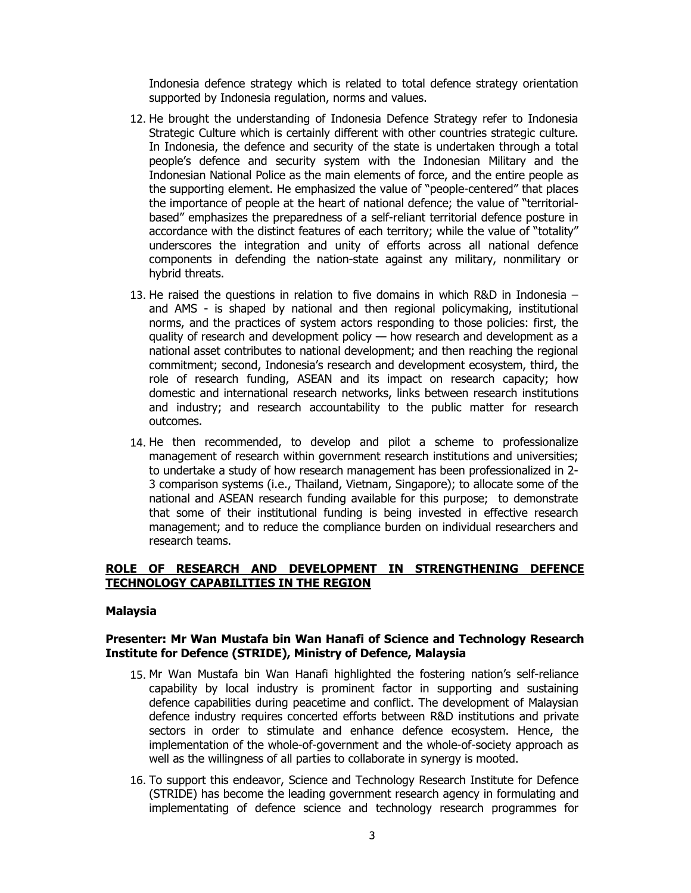Indonesia defence strategy which is related to total defence strategy orientation supported by Indonesia regulation, norms and values.

- 12. He brought the understanding of Indonesia Defence Strategy refer to Indonesia Strategic Culture which is certainly different with other countries strategic culture. In Indonesia, the defence and security of the state is undertaken through a total people's defence and security system with the Indonesian Military and the Indonesian National Police as the main elements of force, and the entire people as the supporting element. He emphasized the value of "people-centered" that places the importance of people at the heart of national defence; the value of "territorialbased" emphasizes the preparedness of a self-reliant territorial defence posture in accordance with the distinct features of each territory; while the value of "totality" underscores the integration and unity of efforts across all national defence components in defending the nation-state against any military, nonmilitary or hybrid threats.
- 13. He raised the questions in relation to five domains in which R&D in Indonesia and AMS - is shaped by national and then regional policymaking, institutional norms, and the practices of system actors responding to those policies: first, the quality of research and development policy — how research and development as a national asset contributes to national development; and then reaching the regional commitment; second, Indonesia's research and development ecosystem, third, the role of research funding, ASEAN and its impact on research capacity; how domestic and international research networks, links between research institutions and industry; and research accountability to the public matter for research outcomes.
- 14. He then recommended, to develop and pilot a scheme to professionalize management of research within government research institutions and universities; to undertake a study of how research management has been professionalized in 2- 3 comparison systems (i.e., Thailand, Vietnam, Singapore); to allocate some of the national and ASEAN research funding available for this purpose; to demonstrate that some of their institutional funding is being invested in effective research management; and to reduce the compliance burden on individual researchers and research teams.

## **ROLE OF RESEARCH AND DEVELOPMENT IN STRENGTHENING DEFENCE TECHNOLOGY CAPABILITIES IN THE REGION**

#### **Malaysia**

#### **Presenter: Mr Wan Mustafa bin Wan Hanafi of Science and Technology Research Institute for Defence (STRIDE), Ministry of Defence, Malaysia**

- 15. Mr Wan Mustafa bin Wan Hanafi highlighted the fostering nation's self-reliance capability by local industry is prominent factor in supporting and sustaining defence capabilities during peacetime and conflict. The development of Malaysian defence industry requires concerted efforts between R&D institutions and private sectors in order to stimulate and enhance defence ecosystem. Hence, the implementation of the whole-of-government and the whole-of-society approach as well as the willingness of all parties to collaborate in synergy is mooted.
- 16. To support this endeavor, Science and Technology Research Institute for Defence (STRIDE) has become the leading government research agency in formulating and implementating of defence science and technology research programmes for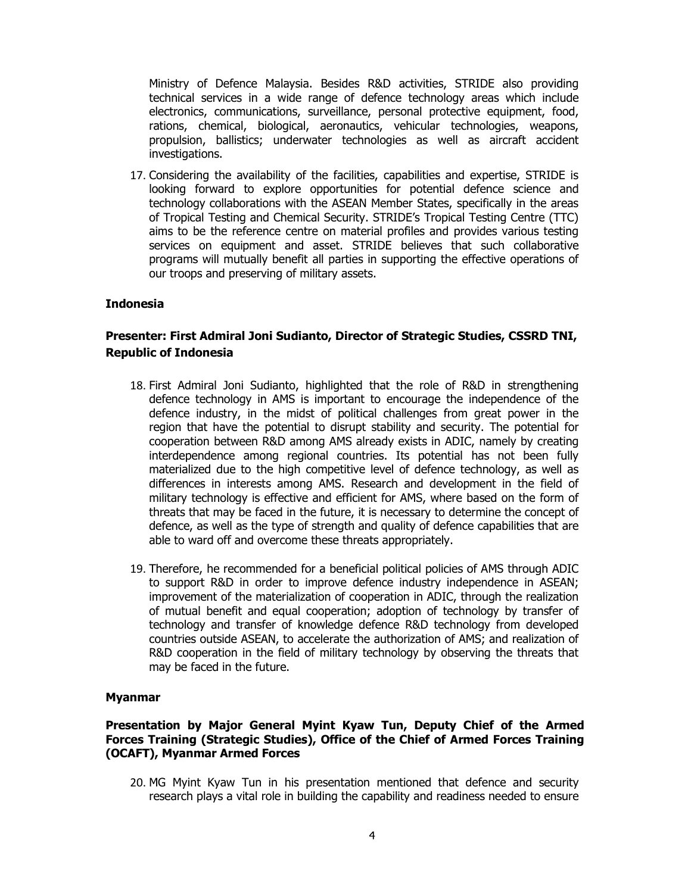Ministry of Defence Malaysia. Besides R&D activities, STRIDE also providing technical services in a wide range of defence technology areas which include electronics, communications, surveillance, personal protective equipment, food, rations, chemical, biological, aeronautics, vehicular technologies, weapons, propulsion, ballistics; underwater technologies as well as aircraft accident investigations.

17. Considering the availability of the facilities, capabilities and expertise, STRIDE is looking forward to explore opportunities for potential defence science and technology collaborations with the ASEAN Member States, specifically in the areas of Tropical Testing and Chemical Security. STRIDE's Tropical Testing Centre (TTC) aims to be the reference centre on material profiles and provides various testing services on equipment and asset. STRIDE believes that such collaborative programs will mutually benefit all parties in supporting the effective operations of our troops and preserving of military assets.

#### **Indonesia**

## **Presenter: First Admiral Joni Sudianto, Director of Strategic Studies, CSSRD TNI, Republic of Indonesia**

- 18. First Admiral Joni Sudianto, highlighted that the role of R&D in strengthening defence technology in AMS is important to encourage the independence of the defence industry, in the midst of political challenges from great power in the region that have the potential to disrupt stability and security. The potential for cooperation between R&D among AMS already exists in ADIC, namely by creating interdependence among regional countries. Its potential has not been fully materialized due to the high competitive level of defence technology, as well as differences in interests among AMS. Research and development in the field of military technology is effective and efficient for AMS, where based on the form of threats that may be faced in the future, it is necessary to determine the concept of defence, as well as the type of strength and quality of defence capabilities that are able to ward off and overcome these threats appropriately.
- 19. Therefore, he recommended for a beneficial political policies of AMS through ADIC to support R&D in order to improve defence industry independence in ASEAN; improvement of the materialization of cooperation in ADIC, through the realization of mutual benefit and equal cooperation; adoption of technology by transfer of technology and transfer of knowledge defence R&D technology from developed countries outside ASEAN, to accelerate the authorization of AMS; and realization of R&D cooperation in the field of military technology by observing the threats that may be faced in the future.

#### **Myanmar**

#### **Presentation by Major General Myint Kyaw Tun, Deputy Chief of the Armed Forces Training (Strategic Studies), Office of the Chief of Armed Forces Training (OCAFT), Myanmar Armed Forces**

20. MG Myint Kyaw Tun in his presentation mentioned that defence and security research plays a vital role in building the capability and readiness needed to ensure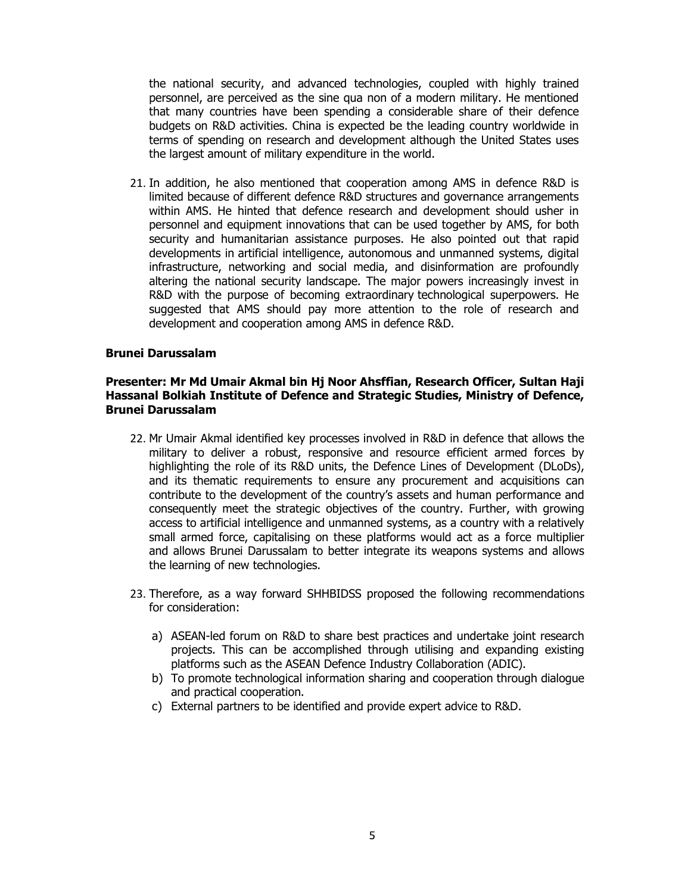the national security, and advanced technologies, coupled with highly trained personnel, are perceived as the sine qua non of a modern military. He mentioned that many countries have been spending a considerable share of their defence budgets on R&D activities. China is expected be the leading country worldwide in terms of spending on research and development although the United States uses the largest amount of military expenditure in the world.

21. In addition, he also mentioned that cooperation among AMS in defence R&D is limited because of different defence R&D structures and governance arrangements within AMS. He hinted that defence research and development should usher in personnel and equipment innovations that can be used together by AMS, for both security and humanitarian assistance purposes. He also pointed out that rapid developments in artificial intelligence, autonomous and unmanned systems, digital infrastructure, networking and social media, and disinformation are profoundly altering the national security landscape. The major powers increasingly invest in R&D with the purpose of becoming extraordinary technological superpowers. He suggested that AMS should pay more attention to the role of research and development and cooperation among AMS in defence R&D.

#### **Brunei Darussalam**

#### **Presenter: Mr Md Umair Akmal bin Hj Noor Ahsffian, Research Officer, Sultan Haji Hassanal Bolkiah Institute of Defence and Strategic Studies, Ministry of Defence, Brunei Darussalam**

- 22. Mr Umair Akmal identified key processes involved in R&D in defence that allows the military to deliver a robust, responsive and resource efficient armed forces by highlighting the role of its R&D units, the Defence Lines of Development (DLoDs), and its thematic requirements to ensure any procurement and acquisitions can contribute to the development of the country's assets and human performance and consequently meet the strategic objectives of the country. Further, with growing access to artificial intelligence and unmanned systems, as a country with a relatively small armed force, capitalising on these platforms would act as a force multiplier and allows Brunei Darussalam to better integrate its weapons systems and allows the learning of new technologies.
- 23. Therefore, as a way forward SHHBIDSS proposed the following recommendations for consideration:
	- a) ASEAN-led forum on R&D to share best practices and undertake joint research projects. This can be accomplished through utilising and expanding existing platforms such as the ASEAN Defence Industry Collaboration (ADIC).
	- b) To promote technological information sharing and cooperation through dialogue and practical cooperation.
	- c) External partners to be identified and provide expert advice to R&D.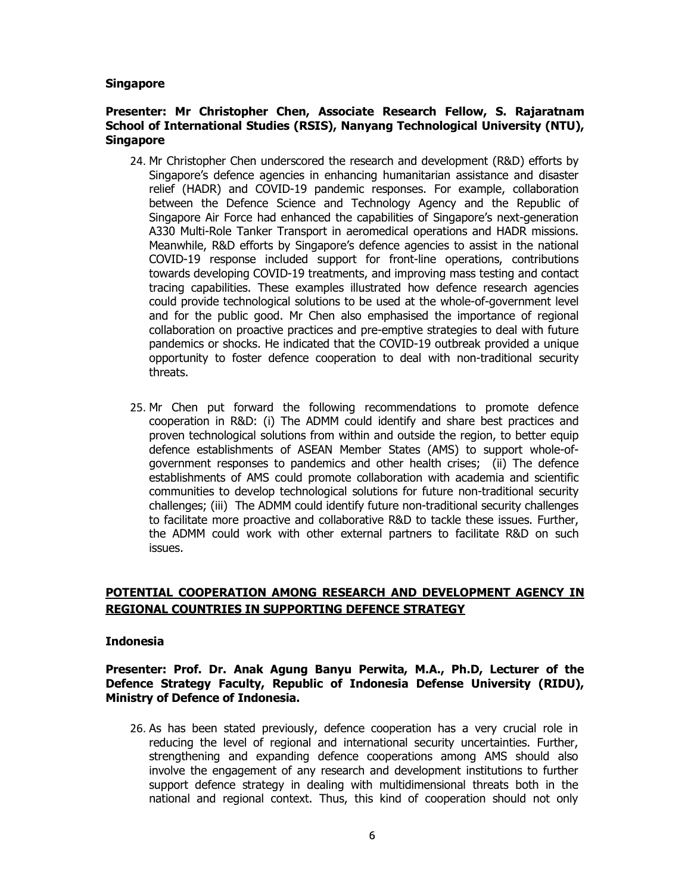#### **Singapore**

#### **Presenter: Mr Christopher Chen, Associate Research Fellow, S. Rajaratnam School of International Studies (RSIS), Nanyang Technological University (NTU), Singapore**

- 24. Mr Christopher Chen underscored the research and development (R&D) efforts by Singapore's defence agencies in enhancing humanitarian assistance and disaster relief (HADR) and COVID-19 pandemic responses. For example, collaboration between the Defence Science and Technology Agency and the Republic of Singapore Air Force had enhanced the capabilities of Singapore's next-generation A330 Multi-Role Tanker Transport in aeromedical operations and HADR missions. Meanwhile, R&D efforts by Singapore's defence agencies to assist in the national COVID-19 response included support for front-line operations, contributions towards developing COVID-19 treatments, and improving mass testing and contact tracing capabilities. These examples illustrated how defence research agencies could provide technological solutions to be used at the whole-of-government level and for the public good. Mr Chen also emphasised the importance of regional collaboration on proactive practices and pre-emptive strategies to deal with future pandemics or shocks. He indicated that the COVID-19 outbreak provided a unique opportunity to foster defence cooperation to deal with non-traditional security threats.
- 25. Mr Chen put forward the following recommendations to promote defence cooperation in R&D: (i) The ADMM could identify and share best practices and proven technological solutions from within and outside the region, to better equip defence establishments of ASEAN Member States (AMS) to support whole-ofgovernment responses to pandemics and other health crises; (ii) The defence establishments of AMS could promote collaboration with academia and scientific communities to develop technological solutions for future non-traditional security challenges; (iii) The ADMM could identify future non-traditional security challenges to facilitate more proactive and collaborative R&D to tackle these issues. Further, the ADMM could work with other external partners to facilitate R&D on such issues.

# **POTENTIAL COOPERATION AMONG RESEARCH AND DEVELOPMENT AGENCY IN REGIONAL COUNTRIES IN SUPPORTING DEFENCE STRATEGY**

#### **Indonesia**

**Presenter: Prof. Dr. Anak Agung Banyu Perwita, M.A., Ph.D, Lecturer of the Defence Strategy Faculty, Republic of Indonesia Defense University (RIDU), Ministry of Defence of Indonesia.** 

26. As has been stated previously, defence cooperation has a very crucial role in reducing the level of regional and international security uncertainties. Further, strengthening and expanding defence cooperations among AMS should also involve the engagement of any research and development institutions to further support defence strategy in dealing with multidimensional threats both in the national and regional context. Thus, this kind of cooperation should not only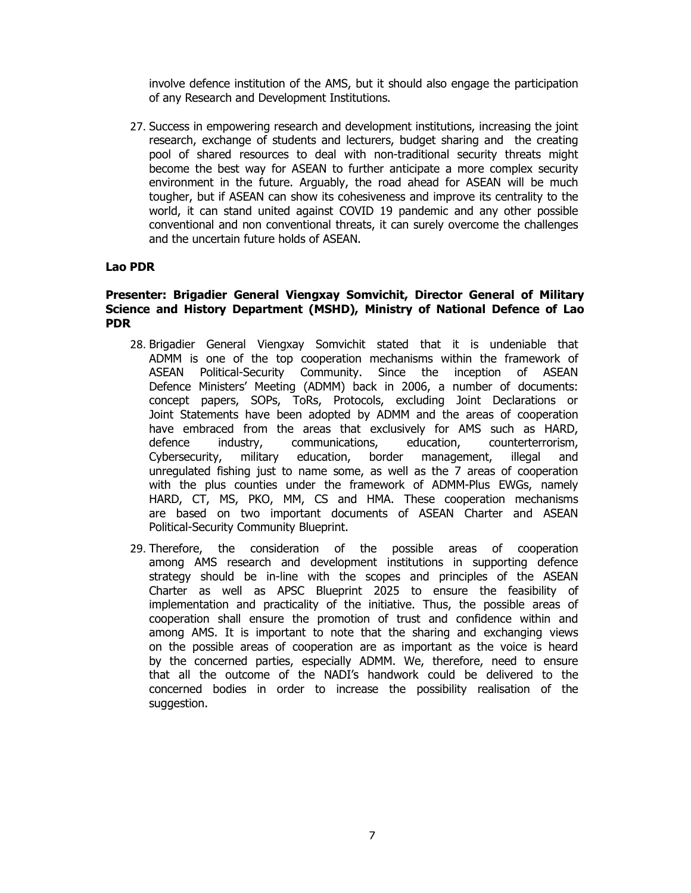involve defence institution of the AMS, but it should also engage the participation of any Research and Development Institutions.

27. Success in empowering research and development institutions, increasing the joint research, exchange of students and lecturers, budget sharing and the creating pool of shared resources to deal with non-traditional security threats might become the best way for ASEAN to further anticipate a more complex security environment in the future. Arguably, the road ahead for ASEAN will be much tougher, but if ASEAN can show its cohesiveness and improve its centrality to the world, it can stand united against COVID 19 pandemic and any other possible conventional and non conventional threats, it can surely overcome the challenges and the uncertain future holds of ASEAN.

#### **Lao PDR**

#### **Presenter: Brigadier General Viengxay Somvichit, Director General of Military Science and History Department (MSHD), Ministry of National Defence of Lao PDR**

- 28. Brigadier General Viengxay Somvichit stated that it is undeniable that ADMM is one of the top cooperation mechanisms within the framework of ASEAN Political-Security Community. Since the inception of ASEAN Defence Ministers' Meeting (ADMM) back in 2006, a number of documents: concept papers, SOPs, ToRs, Protocols, excluding Joint Declarations or Joint Statements have been adopted by ADMM and the areas of cooperation have embraced from the areas that exclusively for AMS such as HARD, defence industry, communications, education, counterterrorism, Cybersecurity, military education, border management, illegal and unregulated fishing just to name some, as well as the 7 areas of cooperation with the plus counties under the framework of ADMM-Plus EWGs, namely HARD, CT, MS, PKO, MM, CS and HMA. These cooperation mechanisms are based on two important documents of ASEAN Charter and ASEAN Political-Security Community Blueprint.
- 29. Therefore, the consideration of the possible areas of cooperation among AMS research and development institutions in supporting defence strategy should be in-line with the scopes and principles of the ASEAN Charter as well as APSC Blueprint 2025 to ensure the feasibility of implementation and practicality of the initiative. Thus, the possible areas of cooperation shall ensure the promotion of trust and confidence within and among AMS. It is important to note that the sharing and exchanging views on the possible areas of cooperation are as important as the voice is heard by the concerned parties, especially ADMM. We, therefore, need to ensure that all the outcome of the NADI's handwork could be delivered to the concerned bodies in order to increase the possibility realisation of the suggestion.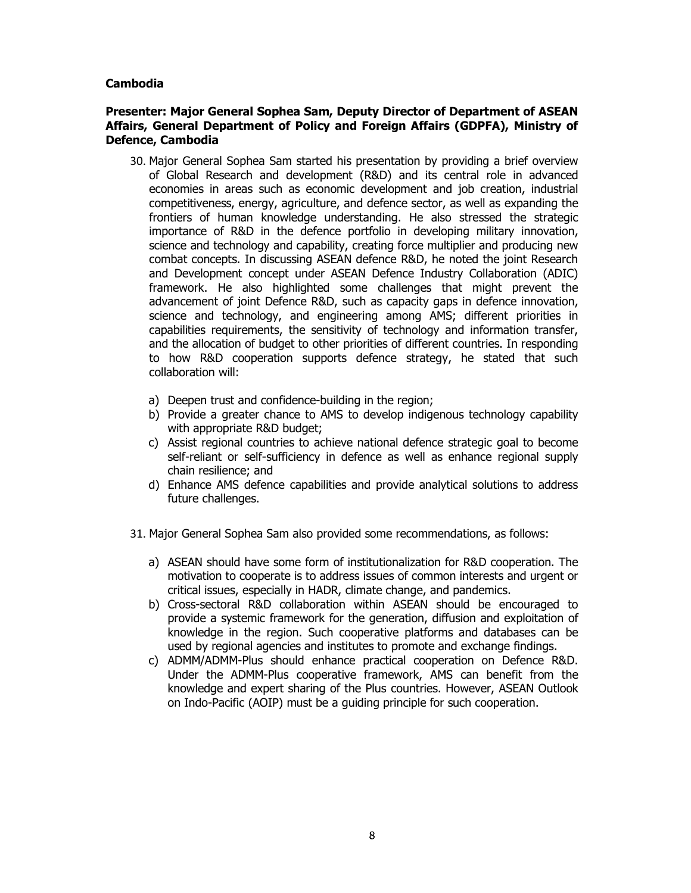## **Cambodia**

#### **Presenter: Major General Sophea Sam, Deputy Director of Department of ASEAN Affairs, General Department of Policy and Foreign Affairs (GDPFA), Ministry of Defence, Cambodia**

- 30. Major General Sophea Sam started his presentation by providing a brief overview of Global Research and development (R&D) and its central role in advanced economies in areas such as economic development and job creation, industrial competitiveness, energy, agriculture, and defence sector, as well as expanding the frontiers of human knowledge understanding. He also stressed the strategic importance of R&D in the defence portfolio in developing military innovation, science and technology and capability, creating force multiplier and producing new combat concepts. In discussing ASEAN defence R&D, he noted the joint Research and Development concept under ASEAN Defence Industry Collaboration (ADIC) framework. He also highlighted some challenges that might prevent the advancement of joint Defence R&D, such as capacity gaps in defence innovation, science and technology, and engineering among AMS; different priorities in capabilities requirements, the sensitivity of technology and information transfer, and the allocation of budget to other priorities of different countries. In responding to how R&D cooperation supports defence strategy, he stated that such collaboration will:
	- a) Deepen trust and confidence-building in the region;
	- b) Provide a greater chance to AMS to develop indigenous technology capability with appropriate R&D budget;
	- c) Assist regional countries to achieve national defence strategic goal to become self-reliant or self-sufficiency in defence as well as enhance regional supply chain resilience; and
	- d) Enhance AMS defence capabilities and provide analytical solutions to address future challenges.
- 31. Major General Sophea Sam also provided some recommendations, as follows:
	- a) ASEAN should have some form of institutionalization for R&D cooperation. The motivation to cooperate is to address issues of common interests and urgent or critical issues, especially in HADR, climate change, and pandemics.
	- b) Cross-sectoral R&D collaboration within ASEAN should be encouraged to provide a systemic framework for the generation, diffusion and exploitation of knowledge in the region. Such cooperative platforms and databases can be used by regional agencies and institutes to promote and exchange findings.
	- c) ADMM/ADMM-Plus should enhance practical cooperation on Defence R&D. Under the ADMM-Plus cooperative framework, AMS can benefit from the knowledge and expert sharing of the Plus countries. However, ASEAN Outlook on Indo-Pacific (AOIP) must be a guiding principle for such cooperation.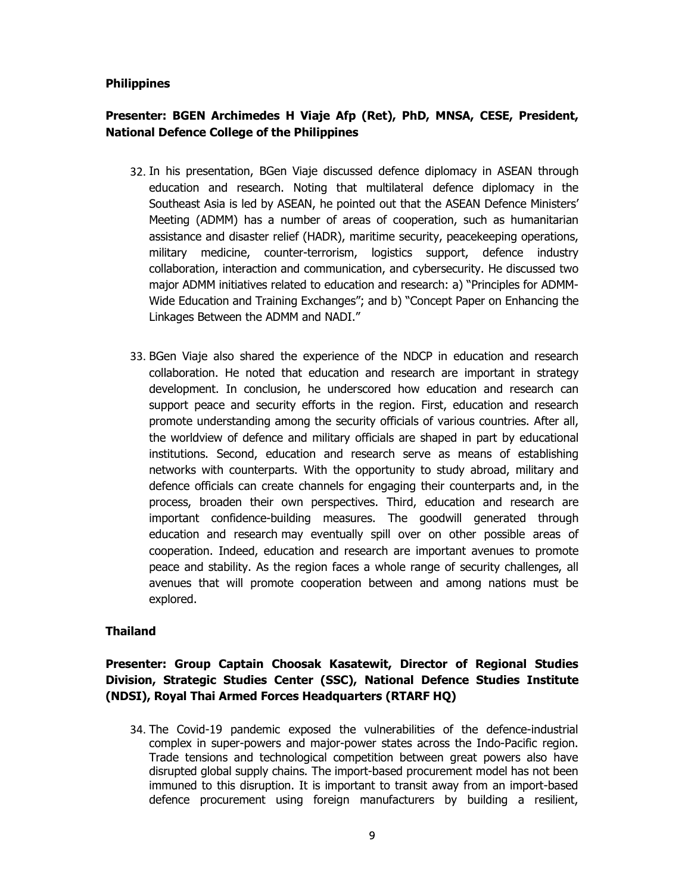## **Philippines**

# **Presenter: BGEN Archimedes H Viaje Afp (Ret), PhD, MNSA, CESE, President, National Defence College of the Philippines**

- 32. In his presentation, BGen Viaje discussed defence diplomacy in ASEAN through education and research. Noting that multilateral defence diplomacy in the Southeast Asia is led by ASEAN, he pointed out that the ASEAN Defence Ministers' Meeting (ADMM) has a number of areas of cooperation, such as humanitarian assistance and disaster relief (HADR), maritime security, peacekeeping operations, military medicine, counter-terrorism, logistics support, defence industry collaboration, interaction and communication, and cybersecurity. He discussed two major ADMM initiatives related to education and research: a) "Principles for ADMM-Wide Education and Training Exchanges"; and b) "Concept Paper on Enhancing the Linkages Between the ADMM and NADI."
- 33. BGen Viaje also shared the experience of the NDCP in education and research collaboration. He noted that education and research are important in strategy development. In conclusion, he underscored how education and research can support peace and security efforts in the region. First, education and research promote understanding among the security officials of various countries. After all, the worldview of defence and military officials are shaped in part by educational institutions. Second, education and research serve as means of establishing networks with counterparts. With the opportunity to study abroad, military and defence officials can create channels for engaging their counterparts and, in the process, broaden their own perspectives. Third, education and research are important confidence-building measures. The goodwill generated through education and research may eventually spill over on other possible areas of cooperation. Indeed, education and research are important avenues to promote peace and stability. As the region faces a whole range of security challenges, all avenues that will promote cooperation between and among nations must be explored.

# **Thailand**

# **Presenter: Group Captain Choosak Kasatewit, Director of Regional Studies Division, Strategic Studies Center (SSC), National Defence Studies Institute (NDSI), Royal Thai Armed Forces Headquarters (RTARF HQ)**

34. The Covid-19 pandemic exposed the vulnerabilities of the defence-industrial complex in super-powers and major-power states across the Indo-Pacific region. Trade tensions and technological competition between great powers also have disrupted global supply chains. The import-based procurement model has not been immuned to this disruption. It is important to transit away from an import-based defence procurement using foreign manufacturers by building a resilient,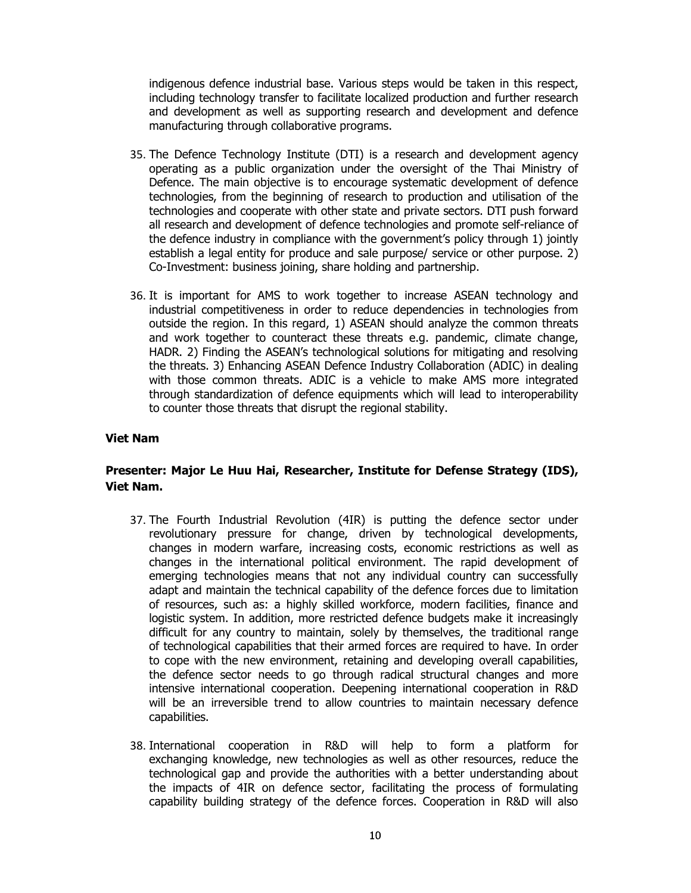indigenous defence industrial base. Various steps would be taken in this respect, including technology transfer to facilitate localized production and further research and development as well as supporting research and development and defence manufacturing through collaborative programs.

- 35. The Defence Technology Institute (DTI) is a research and development agency operating as a public organization under the oversight of the Thai Ministry of Defence. The main objective is to encourage systematic development of defence technologies, from the beginning of research to production and utilisation of the technologies and cooperate with other state and private sectors. DTI push forward all research and development of defence technologies and promote self-reliance of the defence industry in compliance with the government's policy through 1) jointly establish a legal entity for produce and sale purpose/ service or other purpose. 2) Co-Investment: business joining, share holding and partnership.
- 36. It is important for AMS to work together to increase ASEAN technology and industrial competitiveness in order to reduce dependencies in technologies from outside the region. In this regard, 1) ASEAN should analyze the common threats and work together to counteract these threats e.g. pandemic, climate change, HADR. 2) Finding the ASEAN's technological solutions for mitigating and resolving the threats. 3) Enhancing ASEAN Defence Industry Collaboration (ADIC) in dealing with those common threats. ADIC is a vehicle to make AMS more integrated through standardization of defence equipments which will lead to interoperability to counter those threats that disrupt the regional stability.

#### **Viet Nam**

## **Presenter: Major Le Huu Hai, Researcher, Institute for Defense Strategy (IDS), Viet Nam.**

- 37. The Fourth Industrial Revolution (4IR) is putting the defence sector under revolutionary pressure for change, driven by technological developments, changes in modern warfare, increasing costs, economic restrictions as well as changes in the international political environment. The rapid development of emerging technologies means that not any individual country can successfully adapt and maintain the technical capability of the defence forces due to limitation of resources, such as: a highly skilled workforce, modern facilities, finance and logistic system. In addition, more restricted defence budgets make it increasingly difficult for any country to maintain, solely by themselves, the traditional range of technological capabilities that their armed forces are required to have. In order to cope with the new environment, retaining and developing overall capabilities, the defence sector needs to go through radical structural changes and more intensive international cooperation. Deepening international cooperation in R&D will be an irreversible trend to allow countries to maintain necessary defence capabilities.
- 38. International cooperation in R&D will help to form a platform for exchanging knowledge, new technologies as well as other resources, reduce the technological gap and provide the authorities with a better understanding about the impacts of 4IR on defence sector, facilitating the process of formulating capability building strategy of the defence forces. Cooperation in R&D will also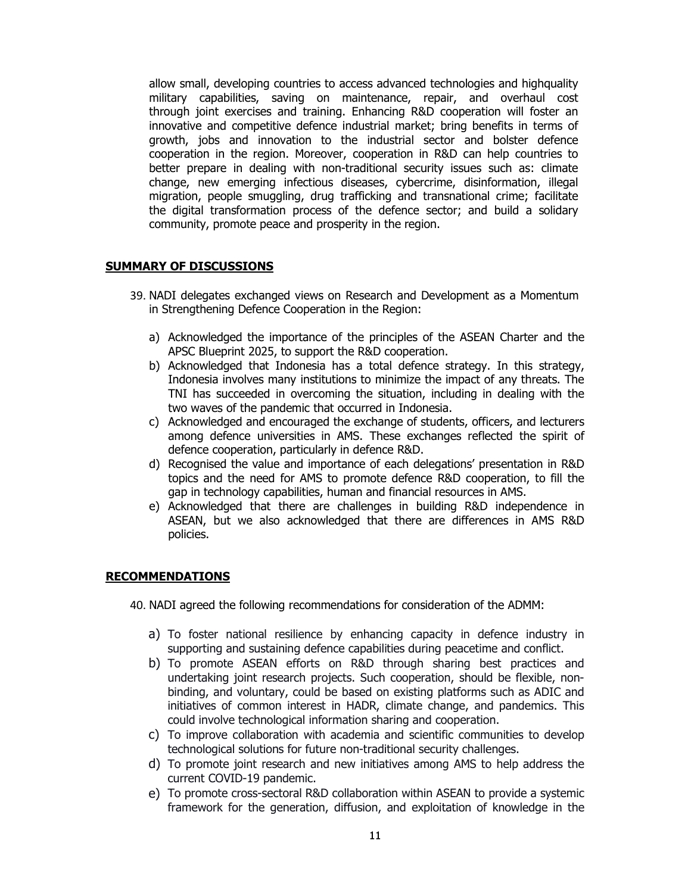allow small, developing countries to access advanced technologies and highquality military capabilities, saving on maintenance, repair, and overhaul cost through joint exercises and training. Enhancing R&D cooperation will foster an innovative and competitive defence industrial market; bring benefits in terms of growth, jobs and innovation to the industrial sector and bolster defence cooperation in the region. Moreover, cooperation in R&D can help countries to better prepare in dealing with non-traditional security issues such as: climate change, new emerging infectious diseases, cybercrime, disinformation, illegal migration, people smuggling, drug trafficking and transnational crime; facilitate the digital transformation process of the defence sector; and build a solidary community, promote peace and prosperity in the region.

## **SUMMARY OF DISCUSSIONS**

- 39. NADI delegates exchanged views on Research and Development as a Momentum in Strengthening Defence Cooperation in the Region:
	- a) Acknowledged the importance of the principles of the ASEAN Charter and the APSC Blueprint 2025, to support the R&D cooperation.
	- b) Acknowledged that Indonesia has a total defence strategy. In this strategy, Indonesia involves many institutions to minimize the impact of any threats. The TNI has succeeded in overcoming the situation, including in dealing with the two waves of the pandemic that occurred in Indonesia.
	- c) Acknowledged and encouraged the exchange of students, officers, and lecturers among defence universities in AMS. These exchanges reflected the spirit of defence cooperation, particularly in defence R&D.
	- d) Recognised the value and importance of each delegations' presentation in R&D topics and the need for AMS to promote defence R&D cooperation, to fill the gap in technology capabilities, human and financial resources in AMS.
	- e) Acknowledged that there are challenges in building R&D independence in ASEAN, but we also acknowledged that there are differences in AMS R&D policies.

# **RECOMMENDATIONS**

- 40. NADI agreed the following recommendations for consideration of the ADMM:
	- a) To foster national resilience by enhancing capacity in defence industry in supporting and sustaining defence capabilities during peacetime and conflict.
	- b) To promote ASEAN efforts on R&D through sharing best practices and undertaking joint research projects. Such cooperation, should be flexible, nonbinding, and voluntary, could be based on existing platforms such as ADIC and initiatives of common interest in HADR, climate change, and pandemics. This could involve technological information sharing and cooperation.
	- c) To improve collaboration with academia and scientific communities to develop technological solutions for future non-traditional security challenges.
	- d) To promote joint research and new initiatives among AMS to help address the current COVID-19 pandemic.
	- e) To promote cross-sectoral R&D collaboration within ASEAN to provide a systemic framework for the generation, diffusion, and exploitation of knowledge in the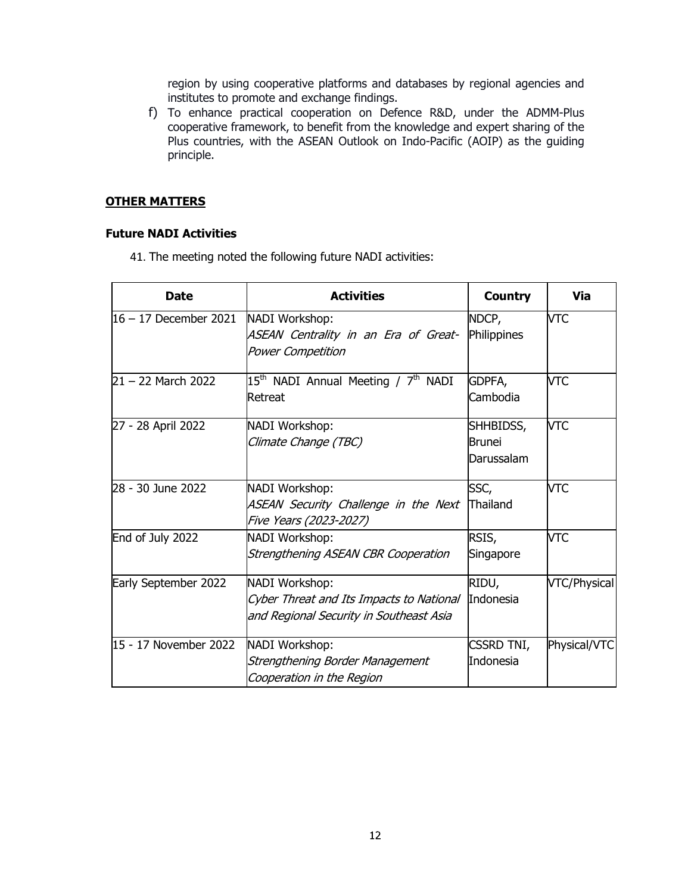region by using cooperative platforms and databases by regional agencies and institutes to promote and exchange findings.

f) To enhance practical cooperation on Defence R&D, under the ADMM-Plus cooperative framework, to benefit from the knowledge and expert sharing of the Plus countries, with the ASEAN Outlook on Indo-Pacific (AOIP) as the guiding principle.

#### **OTHER MATTERS**

#### **Future NADI Activities**

41. The meeting noted the following future NADI activities:

| <b>Date</b>                            | <b>Activities</b>                                                                                     | <b>Country</b>                           | Via          |
|----------------------------------------|-------------------------------------------------------------------------------------------------------|------------------------------------------|--------------|
| $16 - 17$ December 2021 NADI Workshop: | ASEAN Centrality in an Era of Great-<br>Power Competition                                             | NDCP,<br>Philippines                     | <b>VTC</b>   |
| $21 - 22$ March 2022                   | 15 <sup>th</sup> NADI Annual Meeting / 7 <sup>th</sup> NADI<br>Retreat                                | GDPFA,<br>Cambodia                       | <b>VTC</b>   |
| 27 - 28 April 2022                     | NADI Workshop:<br>Climate Change (TBC)                                                                | SHHBIDSS,<br><b>Brunei</b><br>Darussalam | <b>VTC</b>   |
| 28 - 30 June 2022                      | NADI Workshop:<br>ASEAN Security Challenge in the Next<br>Five Years (2023-2027)                      | SSC,<br>Thailand                         | <b>VTC</b>   |
| End of July 2022                       | NADI Workshop:<br>Strengthening ASEAN CBR Cooperation                                                 | RSIS,<br>Singapore                       | <b>VTC</b>   |
| Early September 2022                   | NADI Workshop:<br>Cyber Threat and Its Impacts to National<br>and Regional Security in Southeast Asia | RIDU,<br>Indonesia                       | VTC/Physical |
| 15 - 17 November 2022                  | NADI Workshop:<br>Strengthening Border Management<br>Cooperation in the Region                        | <b>CSSRD TNI,</b><br>Indonesia           | Physical/VTC |